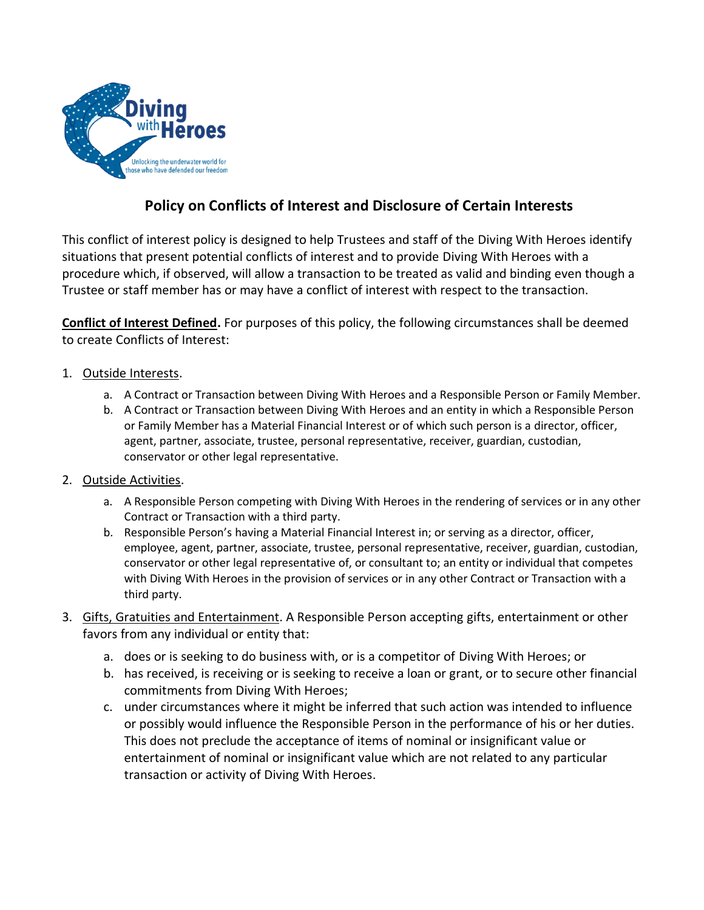

# **Policy on Conflicts of Interest and Disclosure of Certain Interests**

This conflict of interest policy is designed to help Trustees and staff of the Diving With Heroes identify situations that present potential conflicts of interest and to provide Diving With Heroes with a procedure which, if observed, will allow a transaction to be treated as valid and binding even though a Trustee or staff member has or may have a conflict of interest with respect to the transaction.

**Conflict of Interest Defined.** For purposes of this policy, the following circumstances shall be deemed to create Conflicts of Interest:

## 1. Outside Interests.

- a. A Contract or Transaction between Diving With Heroes and a Responsible Person or Family Member.
- b. A Contract or Transaction between Diving With Heroes and an entity in which a Responsible Person or Family Member has a Material Financial Interest or of which such person is a director, officer, agent, partner, associate, trustee, personal representative, receiver, guardian, custodian, conservator or other legal representative.
- 2. Outside Activities.
	- a. A Responsible Person competing with Diving With Heroes in the rendering of services or in any other Contract or Transaction with a third party.
	- b. Responsible Person's having a Material Financial Interest in; or serving as a director, officer, employee, agent, partner, associate, trustee, personal representative, receiver, guardian, custodian, conservator or other legal representative of, or consultant to; an entity or individual that competes with Diving With Heroes in the provision of services or in any other Contract or Transaction with a third party.
- 3. Gifts, Gratuities and Entertainment. A Responsible Person accepting gifts, entertainment or other favors from any individual or entity that:
	- a. does or is seeking to do business with, or is a competitor of Diving With Heroes; or
	- b. has received, is receiving or is seeking to receive a loan or grant, or to secure other financial commitments from Diving With Heroes;
	- c. under circumstances where it might be inferred that such action was intended to influence or possibly would influence the Responsible Person in the performance of his or her duties. This does not preclude the acceptance of items of nominal or insignificant value or entertainment of nominal or insignificant value which are not related to any particular transaction or activity of Diving With Heroes.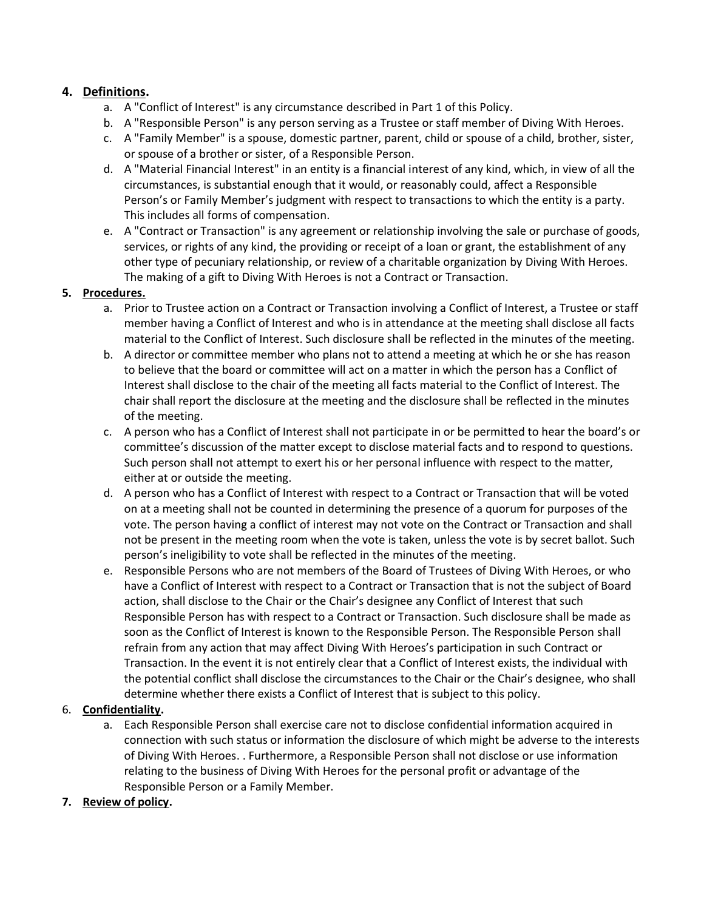### **4. Definitions.**

- a. A "Conflict of Interest" is any circumstance described in Part 1 of this Policy.
- b. A "Responsible Person" is any person serving as a Trustee or staff member of Diving With Heroes.
- c. A "Family Member" is a spouse, domestic partner, parent, child or spouse of a child, brother, sister, or spouse of a brother or sister, of a Responsible Person.
- d. A "Material Financial Interest" in an entity is a financial interest of any kind, which, in view of all the circumstances, is substantial enough that it would, or reasonably could, affect a Responsible Person's or Family Member's judgment with respect to transactions to which the entity is a party. This includes all forms of compensation.
- e. A "Contract or Transaction" is any agreement or relationship involving the sale or purchase of goods, services, or rights of any kind, the providing or receipt of a loan or grant, the establishment of any other type of pecuniary relationship, or review of a charitable organization by Diving With Heroes. The making of a gift to Diving With Heroes is not a Contract or Transaction.

#### **5. Procedures.**

- a. Prior to Trustee action on a Contract or Transaction involving a Conflict of Interest, a Trustee or staff member having a Conflict of Interest and who is in attendance at the meeting shall disclose all facts material to the Conflict of Interest. Such disclosure shall be reflected in the minutes of the meeting.
- b. A director or committee member who plans not to attend a meeting at which he or she has reason to believe that the board or committee will act on a matter in which the person has a Conflict of Interest shall disclose to the chair of the meeting all facts material to the Conflict of Interest. The chair shall report the disclosure at the meeting and the disclosure shall be reflected in the minutes of the meeting.
- c. A person who has a Conflict of Interest shall not participate in or be permitted to hear the board's or committee's discussion of the matter except to disclose material facts and to respond to questions. Such person shall not attempt to exert his or her personal influence with respect to the matter, either at or outside the meeting.
- d. A person who has a Conflict of Interest with respect to a Contract or Transaction that will be voted on at a meeting shall not be counted in determining the presence of a quorum for purposes of the vote. The person having a conflict of interest may not vote on the Contract or Transaction and shall not be present in the meeting room when the vote is taken, unless the vote is by secret ballot. Such person's ineligibility to vote shall be reflected in the minutes of the meeting.
- e. Responsible Persons who are not members of the Board of Trustees of Diving With Heroes, or who have a Conflict of Interest with respect to a Contract or Transaction that is not the subject of Board action, shall disclose to the Chair or the Chair's designee any Conflict of Interest that such Responsible Person has with respect to a Contract or Transaction. Such disclosure shall be made as soon as the Conflict of Interest is known to the Responsible Person. The Responsible Person shall refrain from any action that may affect Diving With Heroes's participation in such Contract or Transaction. In the event it is not entirely clear that a Conflict of Interest exists, the individual with the potential conflict shall disclose the circumstances to the Chair or the Chair's designee, who shall determine whether there exists a Conflict of Interest that is subject to this policy.

#### 6. **Confidentiality.**

a. Each Responsible Person shall exercise care not to disclose confidential information acquired in connection with such status or information the disclosure of which might be adverse to the interests of Diving With Heroes. . Furthermore, a Responsible Person shall not disclose or use information relating to the business of Diving With Heroes for the personal profit or advantage of the Responsible Person or a Family Member.

#### **7. Review of policy.**